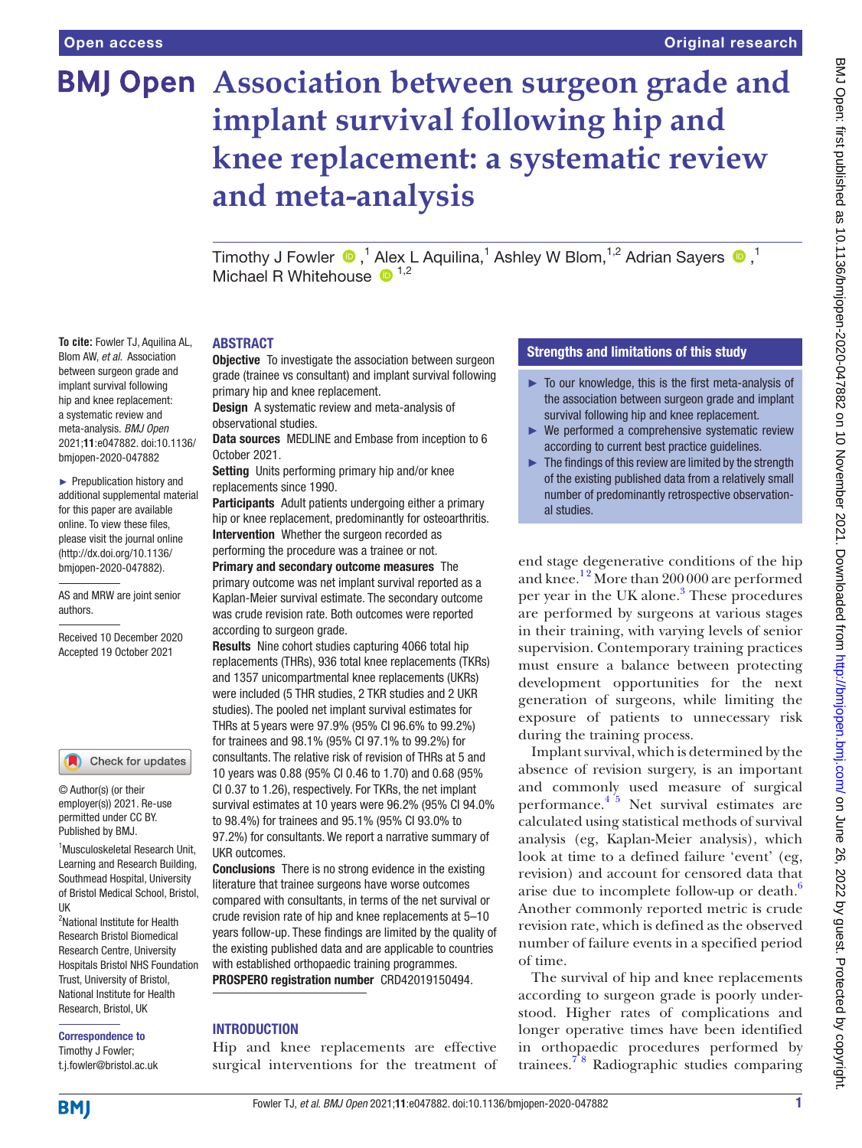**To cite:** Fowler TJ, Aquilina AL, Blom AW, *et al*. Association between surgeon grade and implant survival following hip and knee replacement: a systematic review and meta-analysis. *BMJ Open* 2021;11:e047882. doi:10.1136/ bmjopen-2020-047882 ► Prepublication history and additional supplemental material for this paper are available online. To view these files, please visit the journal online [\(http://dx.doi.org/10.1136/](http://dx.doi.org/10.1136/bmjopen-2020-047882) [bmjopen-2020-047882](http://dx.doi.org/10.1136/bmjopen-2020-047882)). AS and MRW are joint senior

# **BMJ Open** Association between surgeon grade and **implant survival following hip and knee replacement: a systematic review and meta-analysis**

TimothyJ Fowler  $\bigcirc$  ,<sup>1</sup> Alex L Aquilina,<sup>1</sup> Ashley W Blom,<sup>1,2</sup> Adrian Sayers  $\bigcirc$  ,<sup>1</sup> Michael R Whitehouse  $\mathbf{D}^{1,2}$ 

#### ABSTRACT

**Objective** To investigate the association between surgeon grade (trainee vs consultant) and implant survival following primary hip and knee replacement.

Design A systematic review and meta-analysis of observational studies.

Data sources MEDLINE and Embase from inception to 6 October 2021.

Setting Units performing primary hip and/or knee replacements since 1990.

Participants Adult patients undergoing either a primary hip or knee replacement, predominantly for osteoarthritis. Intervention Whether the surgeon recorded as performing the procedure was a trainee or not.

Primary and secondary outcome measures The primary outcome was net implant survival reported as a Kaplan-Meier survival estimate. The secondary outcome was crude revision rate. Both outcomes were reported according to surgeon grade.

Results Nine cohort studies capturing 4066 total hip replacements (THRs), 936 total knee replacements (TKRs) and 1357 unicompartmental knee replacements (UKRs) were included (5 THR studies, 2 TKR studies and 2 UKR studies). The pooled net implant survival estimates for THRs at 5 years were 97.9% (95% CI 96.6% to 99.2%) for trainees and 98.1% (95% CI 97.1% to 99.2%) for consultants. The relative risk of revision of THRs at 5 and 10 years was 0.88 (95% CI 0.46 to 1.70) and 0.68 (95% CI 0.37 to 1.26), respectively. For TKRs, the net implant survival estimates at 10 years were 96.2% (95% CI 94.0% to 98.4%) for trainees and 95.1% (95% CI 93.0% to 97.2%) for consultants. We report a narrative summary of UKR outcomes.

Conclusions There is no strong evidence in the existing literature that trainee surgeons have worse outcomes compared with consultants, in terms of the net survival or crude revision rate of hip and knee replacements at 5–10 years follow-up. These findings are limited by the quality of the existing published data and are applicable to countries with established orthopaedic training programmes. PROSPERO registration number CRD42019150494.

# **INTRODUCTION**

Hip and knee replacements are effective surgical interventions for the treatment of

# Strengths and limitations of this study

- ► To our knowledge, this is the first meta-analysis of the association between surgeon grade and implant survival following hip and knee replacement.
- ► We performed a comprehensive systematic review according to current best practice guidelines.
- The findings of this review are limited by the strength of the existing published data from a relatively small number of predominantly retrospective observational studies.

end stage degenerative conditions of the hip and knee.<sup>12</sup> More than 200 000 are performed per year in the UK alone.<sup>3</sup> These procedures are performed by surgeons at various stages in their training, with varying levels of senior supervision. Contemporary training practices must ensure a balance between protecting development opportunities for the next generation of surgeons, while limiting the exposure of patients to unnecessary risk during the training process.

Implant survival, which is determined by the absence of revision surgery, is an important and commonly used measure of surgical performance. $4\overline{5}$  Net survival estimates are calculated using statistical methods of survival analysis (eg, Kaplan-Meier analysis), which look at time to a defined failure 'event' (eg, revision) and account for censored data that arise due to incomplete follow-up or death. $6$ Another commonly reported metric is crude revision rate, which is defined as the observed number of failure events in a specified period of time.

The survival of hip and knee replacements according to surgeon grade is poorly understood. Higher rates of complications and longer operative times have been identified in orthopaedic procedures performed by trainees.[7 8](#page-8-4) Radiographic studies comparing

Correspondence to

UK

authors.

Received 10 December 2020 Accepted 19 October 2021

1 Musculoskeletal Research Unit, Learning and Research Building, Southmead Hospital, University of Bristol Medical School, Bristol,

Check for updates

© Author(s) (or their employer(s)) 2021. Re-use permitted under CC BY. Published by BMJ.

<sup>2</sup>National Institute for Health Research Bristol Biomedical Research Centre, University Hospitals Bristol NHS Foundation Trust, University of Bristol, National Institute for Health Research, Bristol, UK

Timothy J Fowler; t.j.fowler@bristol.ac.uk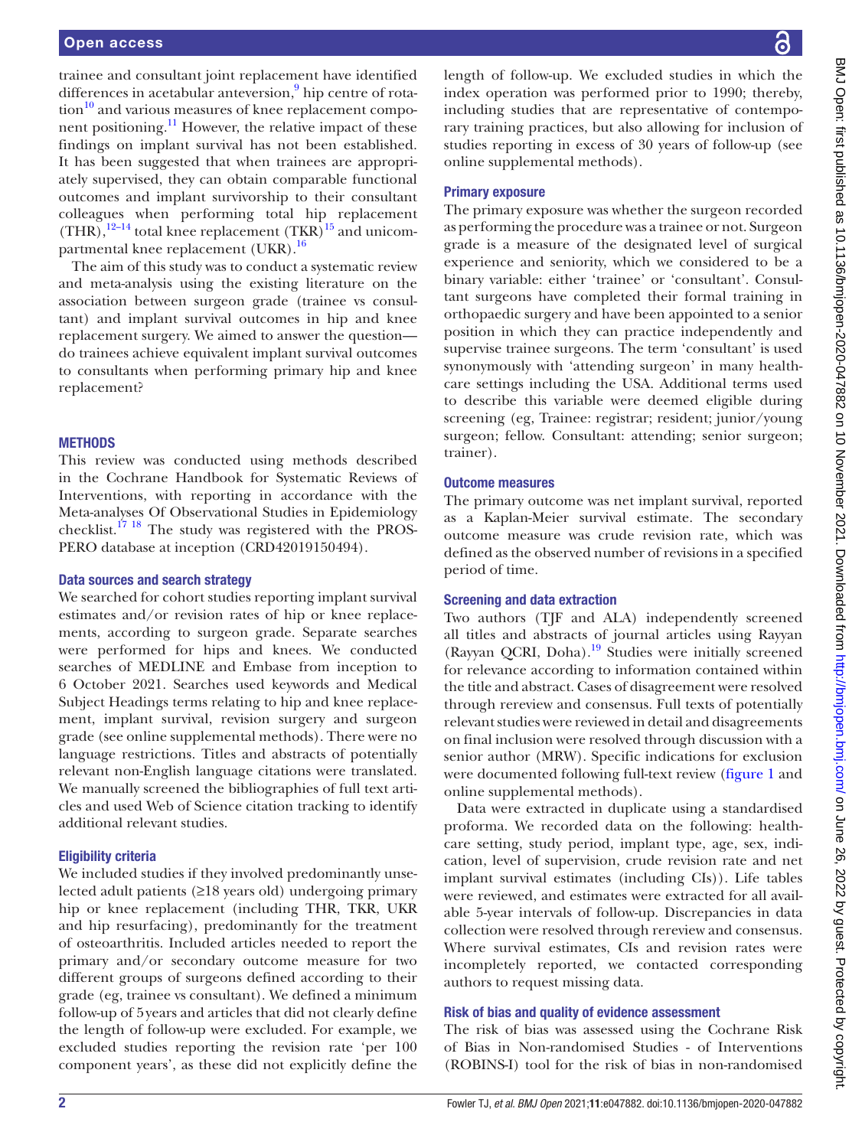trainee and consultant joint replacement have identified differences in acetabular anteversion,<sup>9</sup> hip centre of rota- $\chi$  tion<sup>10</sup> and various measures of knee replacement component positioning. $^{11}$  However, the relative impact of these findings on implant survival has not been established. It has been suggested that when trainees are appropriately supervised, they can obtain comparable functional outcomes and implant survivorship to their consultant colleagues when performing total hip replacement  $(THR)$ ,<sup>[12–14](#page-8-8)</sup> total knee replacement  $(TKR)$ <sup>15</sup> and unicompartmental knee replacement  $(UKR).$ <sup>[16](#page-8-10)</sup>

The aim of this study was to conduct a systematic review and meta-analysis using the existing literature on the association between surgeon grade (trainee vs consultant) and implant survival outcomes in hip and knee replacement surgery. We aimed to answer the question do trainees achieve equivalent implant survival outcomes to consultants when performing primary hip and knee replacement?

#### **METHODS**

This review was conducted using methods described in the Cochrane Handbook for Systematic Reviews of Interventions, with reporting in accordance with the Meta-analyses Of Observational Studies in Epidemiology checklist.<sup>17 18</sup> The study was registered with the PROS-PERO database at inception (CRD42019150494).

#### Data sources and search strategy

We searched for cohort studies reporting implant survival estimates and/or revision rates of hip or knee replacements, according to surgeon grade. Separate searches were performed for hips and knees. We conducted searches of MEDLINE and Embase from inception to 6 October 2021. Searches used keywords and Medical Subject Headings terms relating to hip and knee replacement, implant survival, revision surgery and surgeon grade (see [online supplemental methods\)](https://dx.doi.org/10.1136/bmjopen-2020-047882). There were no language restrictions. Titles and abstracts of potentially relevant non-English language citations were translated. We manually screened the bibliographies of full text articles and used Web of Science citation tracking to identify additional relevant studies.

#### Eligibility criteria

We included studies if they involved predominantly unselected adult patients (≥18 years old) undergoing primary hip or knee replacement (including THR, TKR, UKR and hip resurfacing), predominantly for the treatment of osteoarthritis. Included articles needed to report the primary and/or secondary outcome measure for two different groups of surgeons defined according to their grade (eg, trainee vs consultant). We defined a minimum follow-up of 5years and articles that did not clearly define the length of follow-up were excluded. For example, we excluded studies reporting the revision rate 'per 100 component years', as these did not explicitly define the

length of follow-up. We excluded studies in which the index operation was performed prior to 1990; thereby, including studies that are representative of contemporary training practices, but also allowing for inclusion of studies reporting in excess of 30 years of follow-up (see [online supplemental](https://dx.doi.org/10.1136/bmjopen-2020-047882) methods).

### Primary exposure

The primary exposure was whether the surgeon recorded as performing the procedure was a trainee or not. Surgeon grade is a measure of the designated level of surgical experience and seniority, which we considered to be a binary variable: either 'trainee' or 'consultant'. Consultant surgeons have completed their formal training in orthopaedic surgery and have been appointed to a senior position in which they can practice independently and supervise trainee surgeons. The term 'consultant' is used synonymously with 'attending surgeon' in many healthcare settings including the USA. Additional terms used to describe this variable were deemed eligible during screening (eg, Trainee: registrar; resident; junior/young surgeon; fellow. Consultant: attending; senior surgeon; trainer).

#### Outcome measures

The primary outcome was net implant survival, reported as a Kaplan-Meier survival estimate. The secondary outcome measure was crude revision rate, which was defined as the observed number of revisions in a specified period of time.

#### Screening and data extraction

Two authors (TJF and ALA) independently screened all titles and abstracts of journal articles using Rayyan (Rayyan QCRI, Doha)[.19](#page-8-12) Studies were initially screened for relevance according to information contained within the title and abstract. Cases of disagreement were resolved through rereview and consensus. Full texts of potentially relevant studies were reviewed in detail and disagreements on final inclusion were resolved through discussion with a senior author (MRW). Specific indications for exclusion were documented following full-text review ([figure](#page-2-0) 1 and [online supplemental methods](https://dx.doi.org/10.1136/bmjopen-2020-047882)).

Data were extracted in duplicate using a standardised proforma. We recorded data on the following: healthcare setting, study period, implant type, age, sex, indication, level of supervision, crude revision rate and net implant survival estimates (including CIs)). Life tables were reviewed, and estimates were extracted for all available 5-year intervals of follow-up. Discrepancies in data collection were resolved through rereview and consensus. Where survival estimates, CIs and revision rates were incompletely reported, we contacted corresponding authors to request missing data.

#### Risk of bias and quality of evidence assessment

The risk of bias was assessed using the Cochrane Risk of Bias in Non-randomised Studies - of Interventions (ROBINS-I) tool for the risk of bias in non-randomised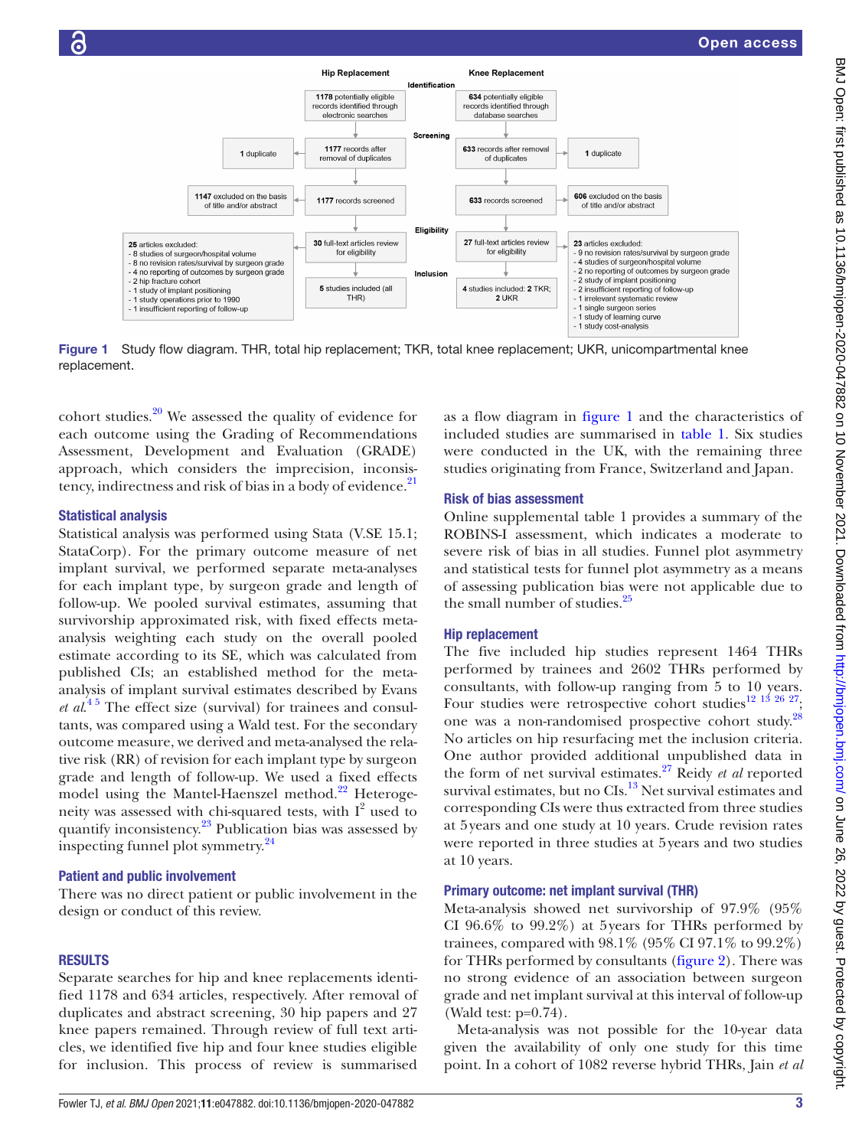

<span id="page-2-0"></span>Figure 1 Study flow diagram. THR, total hip replacement; TKR, total knee replacement; UKR, unicompartmental knee replacement.

cohort studies. $20$  We assessed the quality of evidence for each outcome using the Grading of Recommendations Assessment, Development and Evaluation (GRADE) approach, which considers the imprecision, inconsis-tency, indirectness and risk of bias in a body of evidence.<sup>[21](#page-8-14)</sup>

# Statistical analysis

Statistical analysis was performed using Stata (V.SE 15.1; StataCorp). For the primary outcome measure of net implant survival, we performed separate meta-analyses for each implant type, by surgeon grade and length of follow-up. We pooled survival estimates, assuming that survivorship approximated risk, with fixed effects metaanalysis weighting each study on the overall pooled estimate according to its SE, which was calculated from published CIs; an established method for the metaanalysis of implant survival estimates described by Evans *et al.*<sup>45</sup> The effect size (survival) for trainees and consultants, was compared using a Wald test. For the secondary outcome measure, we derived and meta-analysed the relative risk (RR) of revision for each implant type by surgeon grade and length of follow-up. We used a fixed effects model using the Mantel-Haenszel method.<sup>22</sup> Heterogeneity was assessed with chi-squared tests, with  $I^2$  used to quantify inconsistency.<sup>[23](#page-8-16)</sup> Publication bias was assessed by inspecting funnel plot symmetry.[24](#page-8-17)

# Patient and public involvement

There was no direct patient or public involvement in the design or conduct of this review.

# RESULTS

Separate searches for hip and knee replacements identified 1178 and 634 articles, respectively. After removal of duplicates and abstract screening, 30 hip papers and 27 knee papers remained. Through review of full text articles, we identified five hip and four knee studies eligible for inclusion. This process of review is summarised as a flow diagram in [figure](#page-2-0) 1 and the characteristics of included studies are summarised in [table](#page-3-0) 1. Six studies were conducted in the UK, with the remaining three studies originating from France, Switzerland and Japan.

# Risk of bias assessment

[Online supplemental table 1](https://dx.doi.org/10.1136/bmjopen-2020-047882) provides a summary of the ROBINS-I assessment, which indicates a moderate to severe risk of bias in all studies. Funnel plot asymmetry and statistical tests for funnel plot asymmetry as a means of assessing publication bias were not applicable due to the small number of studies.<sup>25</sup>

# Hip replacement

The five included hip studies represent 1464 THRs performed by trainees and 2602 THRs performed by consultants, with follow-up ranging from 5 to 10 years. Four studies were retrospective cohort studies<sup>12 13</sup> <sup>26</sup> <sup>27</sup>; one was a non-randomised prospective cohort study.<sup>[28](#page-8-19)</sup> No articles on hip resurfacing met the inclusion criteria. One author provided additional unpublished data in the form of net survival estimates.[27](#page-8-20) Reidy *et al* reported survival estimates, but no CIs.<sup>13</sup> Net survival estimates and corresponding CIs were thus extracted from three studies at 5years and one study at 10 years. Crude revision rates were reported in three studies at 5years and two studies at 10 years.

# Primary outcome: net implant survival (THR)

Meta-analysis showed net survivorship of 97.9% (95% CI 96.6% to 99.2%) at 5years for THRs performed by trainees, compared with 98.1% (95% CI 97.1% to 99.2%) for THRs performed by consultants ([figure](#page-4-0) 2). There was no strong evidence of an association between surgeon grade and net implant survival at this interval of follow-up (Wald test: p=0.74).

Meta-analysis was not possible for the 10-year data given the availability of only one study for this time point. In a cohort of 1082 reverse hybrid THRs, Jain *et al*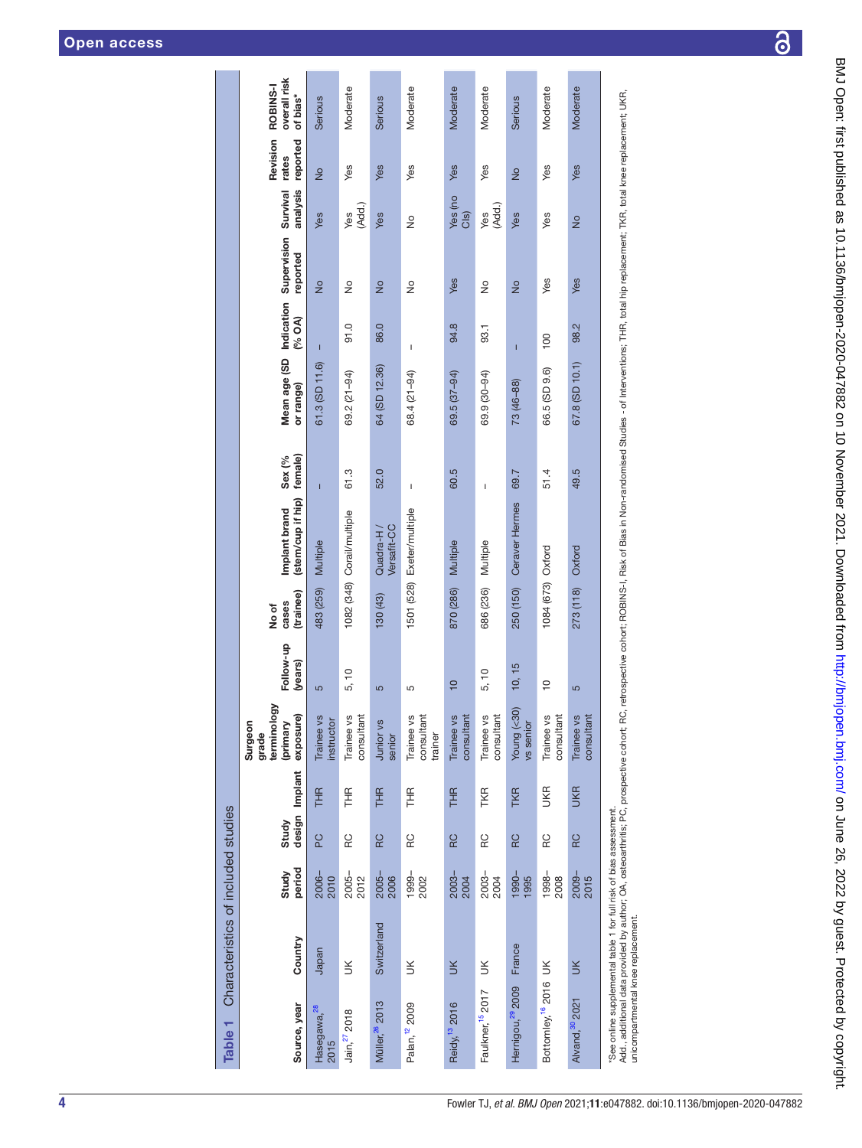| Source, year                        | Country                                                                                                                                                                                                                                                                                             | period<br>Study | design<br>Study | Implant    | terminology<br>exposure)<br>Surgeon<br>(primary<br>grade | Follow-up<br>(years) | (trainee)<br>cases<br>No of | (stem/cup if hip)<br>Implant brand | female)<br>Sex (%                                                                                                                                                                                                                                                                                                                                                                | Mean age (SD<br>or range) | Indication<br>(% OA) | Supervision<br>reported | analysis<br>Survival | Revision<br>reported<br>rates | overall risk<br>ROBINS-I<br>of bias* |
|-------------------------------------|-----------------------------------------------------------------------------------------------------------------------------------------------------------------------------------------------------------------------------------------------------------------------------------------------------|-----------------|-----------------|------------|----------------------------------------------------------|----------------------|-----------------------------|------------------------------------|----------------------------------------------------------------------------------------------------------------------------------------------------------------------------------------------------------------------------------------------------------------------------------------------------------------------------------------------------------------------------------|---------------------------|----------------------|-------------------------|----------------------|-------------------------------|--------------------------------------|
| Hasegawa, <sup>28</sup><br>2015     | Japan                                                                                                                                                                                                                                                                                               | 2006-<br>2010   | PC              | <b>THR</b> | Trainee vs<br>instructor                                 | 5                    | 483 (259)                   | Multiple                           | $\overline{1}$                                                                                                                                                                                                                                                                                                                                                                   | 61.3 (SD 11.6)            | $\mathbf{I}$         | $\frac{1}{2}$           | Yes                  | $\frac{1}{2}$                 | Serious                              |
| Jain, 27 2018                       | $\leq$                                                                                                                                                                                                                                                                                              | 2005-<br>2012   | RC              | 王<br>王     | Trainee vs<br>consultant                                 | 5, 10                |                             | 1082 (348) Corail/multiple         | 61.3                                                                                                                                                                                                                                                                                                                                                                             | 69.2 (21-94)              | 0.10                 | ş                       | (Add.)<br>Yes        | Yes                           | Moderate                             |
| Müller, <sup>26</sup> 2013          | Switzerland                                                                                                                                                                                                                                                                                         | 2005-<br>2006   | RC              | THR        | Junior vs<br>senior                                      | 5                    | $(43)$ (43)                 | Versafit-CC<br>Quadra-H/           | 52.0                                                                                                                                                                                                                                                                                                                                                                             | 64 (SD 12.36)             | 86.0                 | $\frac{1}{2}$           | Yes                  | Yes                           | Serious                              |
| Palan, <sup>12</sup> 2009           | $\leq$                                                                                                                                                                                                                                                                                              | 1999-<br>2002   | RC              | 子<br>王     | Trainee vs<br>consultant<br>trainer                      | 5                    | 1501 (528)                  | Exeter/multiple                    | I                                                                                                                                                                                                                                                                                                                                                                                | 68.4 (21-94)              | I                    | ş                       | $\frac{1}{2}$        | Yes                           | Moderate                             |
| Reidy, <sup>13</sup> 2016           | $\leq$                                                                                                                                                                                                                                                                                              | 2003-<br>2004   | RC              | <b>THR</b> | Trainee vs<br>consultant                                 | $\overline{10}$      | 870 (286)                   | Multiple                           | 60.5                                                                                                                                                                                                                                                                                                                                                                             | 69.5 (37-94)              | 94.8                 | Yes                     | Yes (no<br>CIS)      | Yes                           | Moderate                             |
| Faulkner, <sup>15</sup> 2017        | ЭK                                                                                                                                                                                                                                                                                                  | 2003-<br>2004   | RC              | TKR        | Trainee vs<br>consultant                                 | 5, 10                | 686 (236)                   | Multiple                           | $\begin{array}{c} \rule{0pt}{2.5ex} \rule{0pt}{2.5ex} \rule{0pt}{2.5ex} \rule{0pt}{2.5ex} \rule{0pt}{2.5ex} \rule{0pt}{2.5ex} \rule{0pt}{2.5ex} \rule{0pt}{2.5ex} \rule{0pt}{2.5ex} \rule{0pt}{2.5ex} \rule{0pt}{2.5ex} \rule{0pt}{2.5ex} \rule{0pt}{2.5ex} \rule{0pt}{2.5ex} \rule{0pt}{2.5ex} \rule{0pt}{2.5ex} \rule{0pt}{2.5ex} \rule{0pt}{2.5ex} \rule{0pt}{2.5ex} \rule{0$ | 69.9 (30-94)              | 93.1                 | ş                       | (Add.)<br>Yes        | Yes                           | Moderate                             |
| Hernigou, <sup>29</sup> 2009 France |                                                                                                                                                                                                                                                                                                     | 1990-<br>1995   | RC              | <b>TKR</b> | Young (<30)<br>vs senior                                 | 10, 15               | 250 (150)                   | Ceraver Hermes                     | 69.7                                                                                                                                                                                                                                                                                                                                                                             | 73 (46-88)                | Ï                    | $\frac{1}{2}$           | Yes                  | $\frac{1}{2}$                 | Serious                              |
| Bottomley, <sup>16</sup> 2016 UK    |                                                                                                                                                                                                                                                                                                     | 1998-<br>2008   | RC              | <b>UKR</b> | Trainee vs<br>consultant                                 | $\frac{1}{1}$        | 1084 (673) Oxford           |                                    | 51.4                                                                                                                                                                                                                                                                                                                                                                             | 66.5 (SD 9.6)             | 100                  | Yes                     | Yes                  | Yes                           | Moderate                             |
| Alvand, 30 2021                     | $\leq$                                                                                                                                                                                                                                                                                              | 2009-<br>2015   | RC              | <b>UKR</b> | Trainee vs<br>consultant                                 | 5                    | 273 (118)                   | Oxford                             | 49.5                                                                                                                                                                                                                                                                                                                                                                             | 67.8 (SD 10.1)            | 98.2                 | Yes                     | $\frac{1}{2}$        | Yes                           | Moderate                             |
|                                     | Add., additional data provided by author; OA, ostecarthritis; PC, prospective cohort; RC, retrospective cohort; RC, retrospective cohort; RC, retrospective cohort; RC, retrospective cohort; RC, retrospective cohort; RC, re<br>See online supplemental table 1 for full risk of bias assessment. |                 |                 |            |                                                          |                      |                             |                                    |                                                                                                                                                                                                                                                                                                                                                                                  |                           |                      |                         |                      |                               |                                      |

<span id="page-3-0"></span>

unicompartmental knee replacement. unicompartmental knee replacement.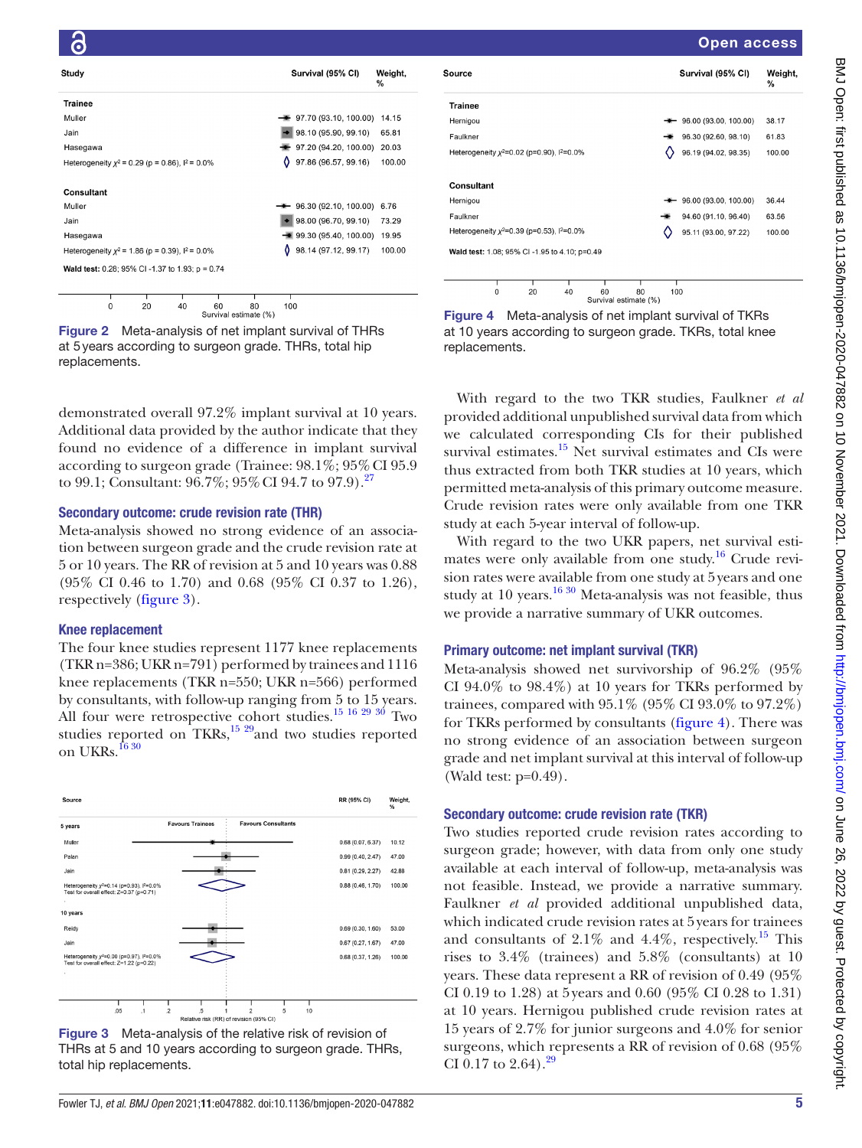Open access

|                                                          |  |    |     |                                     | %      |
|----------------------------------------------------------|--|----|-----|-------------------------------------|--------|
| <b>Trainee</b>                                           |  |    |     |                                     |        |
| Muller                                                   |  |    |     | 97.70 (93.10, 100.00)               | 14.15  |
| Jain                                                     |  |    |     | 98.10 (95.90, 99.10)                | 65.81  |
| Hasegawa                                                 |  |    |     | 97.20 (94.20, 100.00)               | 20.03  |
| Heterogeneity $\chi^2$ = 0.29 (p = 0.86), $1^2$ = 0.0%   |  |    | 0   | 97.86 (96.57, 99.16)                | 100.00 |
| <b>Consultant</b>                                        |  |    |     |                                     |        |
| Muller                                                   |  |    |     | $\rightarrow$ 96.30 (92.10, 100.00) | 6.76   |
| Jain                                                     |  |    |     | 98.00 (96.70, 99.10)                | 73.29  |
| Hasegawa                                                 |  |    |     | $\rightarrow$ 99.30 (95.40, 100.00) | 19.95  |
| Heterogeneity $x^2$ = 1.86 (p = 0.39), $1^2$ = 0.0%      |  |    | 0   | 98.14 (97.12, 99.17)                | 100.00 |
| <b>Wald test:</b> 0.28; 95% CI -1.37 to 1.93; $p = 0.74$ |  |    |     |                                     |        |
|                                                          |  |    |     |                                     |        |
|                                                          |  | 80 | 100 |                                     |        |

<span id="page-4-0"></span>Figure 2 Meta-analysis of net implant survival of THRs at 5years according to surgeon grade. THRs, total hip replacements.

demonstrated overall 97.2% implant survival at 10 years. Additional data provided by the author indicate that they found no evidence of a difference in implant survival according to surgeon grade (Trainee:  $98.1\%$ ;  $95\%$  CI  $95.9$ to 99.1; Consultant:  $96.7\%$ ;  $95\%$  CI 94.7 to  $97.9$ .<sup>[27](#page-8-20)</sup>

# Secondary outcome: crude revision rate (THR)

Meta-analysis showed no strong evidence of an association between surgeon grade and the crude revision rate at 5 or 10 years. The RR of revision at 5 and 10 years was 0.88 (95% CI 0.46 to 1.70) and 0.68 (95% CI 0.37 to 1.26), respectively ([figure](#page-4-1) 3).

# Knee replacement

The four knee studies represent 1177 knee replacements (TKR n=386; UKR n=791) performed by trainees and 1116 knee replacements (TKR n=550; UKR n=566) performed by consultants, with follow-up ranging from 5 to 15 years. All four were retrospective cohort studies.<sup>15 16 29 30</sup> Two studies reported on  $TKRs$ ,<sup>15 29</sup>and two studies reported on UKRs.<sup>[16 30](#page-8-10)</sup>



<span id="page-4-1"></span>Figure 3 Meta-analysis of the relative risk of revision of THRs at 5 and 10 years according to surgeon grade. THRs, total hip replacements.

| Source                                         |           | Survival (95% CI)                  | Weight,<br>% |
|------------------------------------------------|-----------|------------------------------------|--------------|
| <b>Trainee</b>                                 |           |                                    |              |
| Hernigou                                       |           | $\leftarrow$ 96.00 (93.00, 100.00) | 38.17        |
| Faulkner                                       |           | 96.30 (92.60, 98.10)               | 61.83        |
| Heterogeneity $x^2=0.02$ (p=0.90), $1^2=0.0\%$ |           | 96.19 (94.02, 98.35)               | 100.00       |
| Consultant                                     |           |                                    |              |
| Hernigou                                       | . .       | 96.00 (93.00, 100.00)              | 36.44        |
| Faulkner                                       |           | 94.60 (91.10, 96.40)               | 63.56        |
| Heterogeneity $x^2=0.39$ (p=0.53), $1^2=0.0\%$ |           | 95.11 (93.00, 97.22)               | 100.00       |
| Wald test: 1.08; 95% CI-1.95 to 4.10; p=0.49   |           |                                    |              |
|                                                |           |                                    |              |
| 0<br>20<br>60<br>40                            | 80<br>100 |                                    |              |

<span id="page-4-2"></span>

With regard to the two TKR studies, Faulkner *et al* provided additional unpublished survival data from which we calculated corresponding CIs for their published survival estimates. $15$  Net survival estimates and CIs were thus extracted from both TKR studies at 10 years, which permitted meta-analysis of this primary outcome measure. Crude revision rates were only available from one TKR study at each 5-year interval of follow-up.

With regard to the two UKR papers, net survival estimates were only available from one study.<sup>16</sup> Crude revision rates were available from one study at 5years and one study at 10 years. $1630$  Meta-analysis was not feasible, thus we provide a narrative summary of UKR outcomes.

# Primary outcome: net implant survival (TKR)

Meta-analysis showed net survivorship of 96.2% (95% CI  $94.0\%$  to  $98.4\%$ ) at 10 years for TKRs performed by trainees, compared with 95.1% (95% CI 93.0% to 97.2%) for TKRs performed by consultants [\(figure](#page-4-2) 4). There was no strong evidence of an association between surgeon grade and net implant survival at this interval of follow-up (Wald test: p=0.49).

# Secondary outcome: crude revision rate (TKR)

Two studies reported crude revision rates according to surgeon grade; however, with data from only one study available at each interval of follow-up, meta-analysis was not feasible. Instead, we provide a narrative summary. Faulkner *et al* provided additional unpublished data, which indicated crude revision rates at 5years for trainees and consultants of  $2.1\%$  and  $4.4\%$ , respectively.<sup>[15](#page-8-9)</sup> This rises to 3.4% (trainees) and 5.8% (consultants) at 10 years. These data represent a RR of revision of 0.49 (95% CI 0.19 to 1.28) at 5years and 0.60 (95% CI 0.28 to 1.31) at 10 years. Hernigou published crude revision rates at 15 years of 2.7% for junior surgeons and 4.0% for senior surgeons, which represents a RR of revision of 0.68 (95% CI 0.17 to 2.64).<sup>29</sup>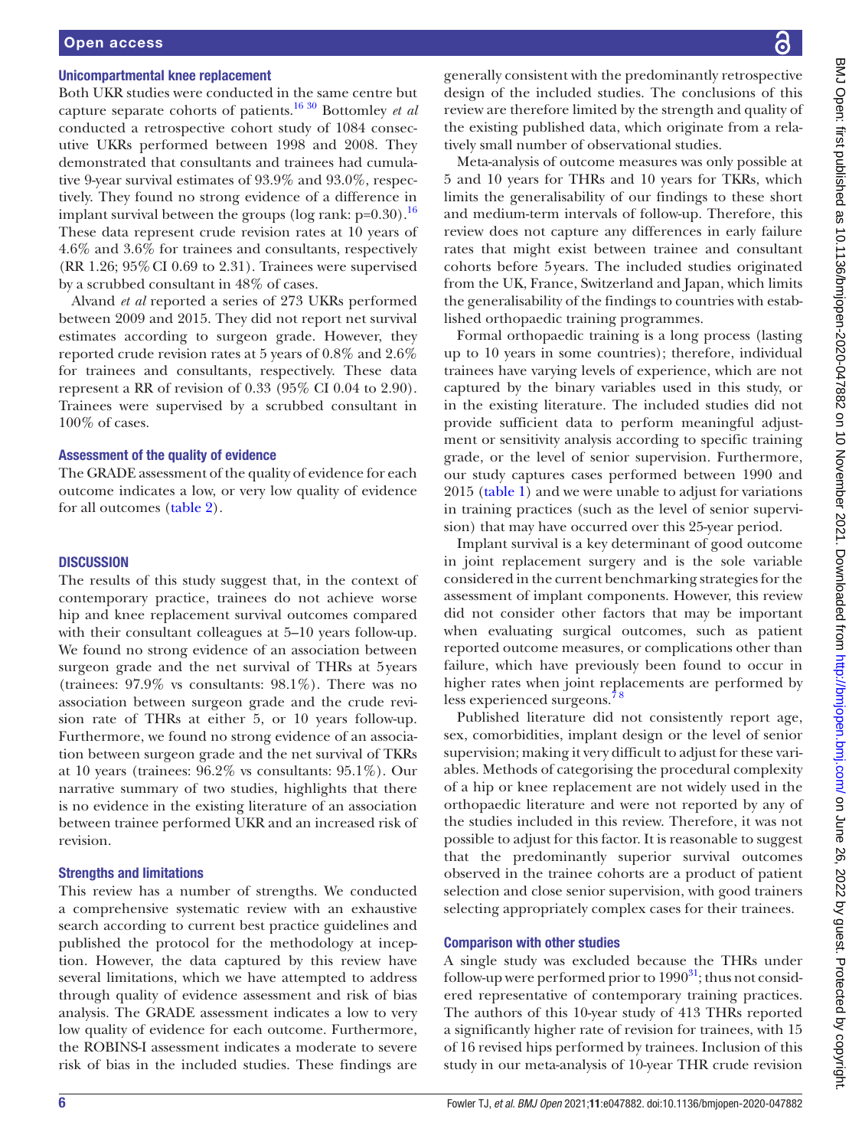# Open access

#### Unicompartmental knee replacement

Both UKR studies were conducted in the same centre but capture separate cohorts of patients.[16 30](#page-8-10) Bottomley *et al* conducted a retrospective cohort study of 1084 consecutive UKRs performed between 1998 and 2008. They demonstrated that consultants and trainees had cumulative 9-year survival estimates of 93.9% and 93.0%, respectively. They found no strong evidence of a difference in implant survival between the groups (log rank:  $p=0.30$ ).<sup>16</sup> These data represent crude revision rates at 10 years of 4.6% and 3.6% for trainees and consultants, respectively (RR 1.26; 95%CI 0.69 to 2.31). Trainees were supervised by a scrubbed consultant in 48% of cases.

Alvand *et al* reported a series of 273 UKRs performed between 2009 and 2015. They did not report net survival estimates according to surgeon grade. However, they reported crude revision rates at 5 years of 0.8% and 2.6% for trainees and consultants, respectively. These data represent a RR of revision of 0.33 (95% CI 0.04 to 2.90). Trainees were supervised by a scrubbed consultant in 100% of cases.

#### Assessment of the quality of evidence

The GRADE assessment of the quality of evidence for each outcome indicates a low, or very low quality of evidence for all outcomes ([table](#page-6-0) 2).

#### **DISCUSSION**

The results of this study suggest that, in the context of contemporary practice, trainees do not achieve worse hip and knee replacement survival outcomes compared with their consultant colleagues at 5–10 years follow-up. We found no strong evidence of an association between surgeon grade and the net survival of THRs at 5years (trainees: 97.9% vs consultants: 98.1%). There was no association between surgeon grade and the crude revision rate of THRs at either 5, or 10 years follow-up. Furthermore, we found no strong evidence of an association between surgeon grade and the net survival of TKRs at 10 years (trainees: 96.2% vs consultants: 95.1%). Our narrative summary of two studies, highlights that there is no evidence in the existing literature of an association between trainee performed UKR and an increased risk of revision.

#### Strengths and limitations

This review has a number of strengths. We conducted a comprehensive systematic review with an exhaustive search according to current best practice guidelines and published the protocol for the methodology at inception. However, the data captured by this review have several limitations, which we have attempted to address through quality of evidence assessment and risk of bias analysis. The GRADE assessment indicates a low to very low quality of evidence for each outcome. Furthermore, the ROBINS-I assessment indicates a moderate to severe risk of bias in the included studies. These findings are

generally consistent with the predominantly retrospective design of the included studies. The conclusions of this review are therefore limited by the strength and quality of the existing published data, which originate from a relatively small number of observational studies.

Meta-analysis of outcome measures was only possible at 5 and 10 years for THRs and 10 years for TKRs, which limits the generalisability of our findings to these short and medium-term intervals of follow-up. Therefore, this review does not capture any differences in early failure rates that might exist between trainee and consultant cohorts before 5years. The included studies originated from the UK, France, Switzerland and Japan, which limits the generalisability of the findings to countries with established orthopaedic training programmes.

Formal orthopaedic training is a long process (lasting up to 10 years in some countries); therefore, individual trainees have varying levels of experience, which are not captured by the binary variables used in this study, or in the existing literature. The included studies did not provide sufficient data to perform meaningful adjustment or sensitivity analysis according to specific training grade, or the level of senior supervision. Furthermore, our study captures cases performed between 1990 and 2015 [\(table](#page-3-0) 1) and we were unable to adjust for variations in training practices (such as the level of senior supervision) that may have occurred over this 25-year period.

Implant survival is a key determinant of good outcome in joint replacement surgery and is the sole variable considered in the current benchmarking strategies for the assessment of implant components. However, this review did not consider other factors that may be important when evaluating surgical outcomes, such as patient reported outcome measures, or complications other than failure, which have previously been found to occur in higher rates when joint replacements are performed by less experienced surgeons.[7 8](#page-8-4)

Published literature did not consistently report age, sex, comorbidities, implant design or the level of senior supervision; making it very difficult to adjust for these variables. Methods of categorising the procedural complexity of a hip or knee replacement are not widely used in the orthopaedic literature and were not reported by any of the studies included in this review. Therefore, it was not possible to adjust for this factor. It is reasonable to suggest that the predominantly superior survival outcomes observed in the trainee cohorts are a product of patient selection and close senior supervision, with good trainers selecting appropriately complex cases for their trainees.

#### Comparison with other studies

A single study was excluded because the THRs under follow-up were performed prior to  $1990<sup>31</sup>$ ; thus not considered representative of contemporary training practices. The authors of this 10-year study of 413 THRs reported a significantly higher rate of revision for trainees, with 15 of 16 revised hips performed by trainees. Inclusion of this study in our meta-analysis of 10-year THR crude revision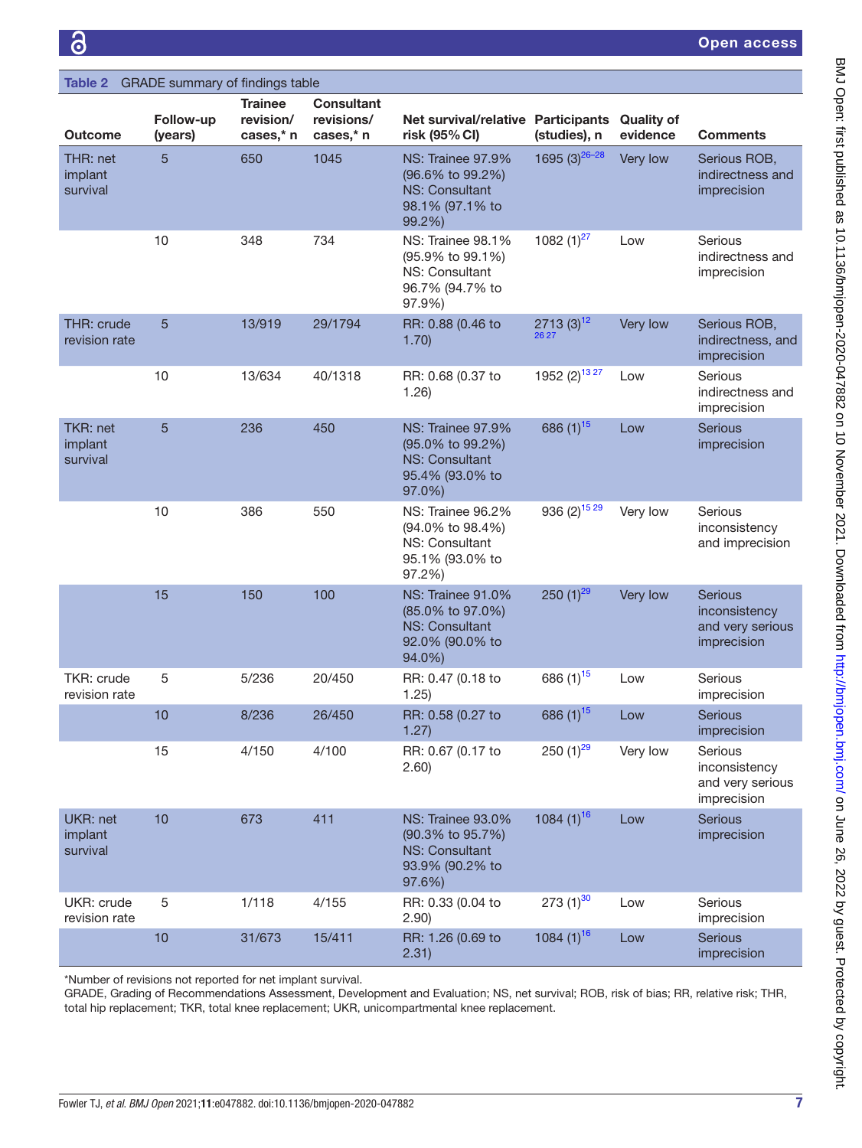<span id="page-6-0"></span>

| Table 2                            | GRADE summary of findings table |                                          |                                              |                                                                                                    |                           |                               |                                                                    |
|------------------------------------|---------------------------------|------------------------------------------|----------------------------------------------|----------------------------------------------------------------------------------------------------|---------------------------|-------------------------------|--------------------------------------------------------------------|
| Outcome                            | Follow-up<br>(years)            | <b>Trainee</b><br>revision/<br>cases,* n | <b>Consultant</b><br>revisions/<br>cases,* n | Net survival/relative Participants<br>risk (95% CI)                                                | (studies), n              | <b>Quality of</b><br>evidence | <b>Comments</b>                                                    |
| THR: net<br>implant<br>survival    | 5                               | 650                                      | 1045                                         | <b>NS: Trainee 97.9%</b><br>(96.6% to 99.2%)<br><b>NS: Consultant</b><br>98.1% (97.1% to<br>99.2%) | 1695 (3) $26-28$          | Very low                      | Serious ROB,<br>indirectness and<br>imprecision                    |
|                                    | 10                              | 348                                      | 734                                          | NS: Trainee 98.1%<br>(95.9% to 99.1%)<br>NS: Consultant<br>96.7% (94.7% to<br>97.9%)               | 1082 $(1)^{27}$           | Low                           | Serious<br>indirectness and<br>imprecision                         |
| THR: crude<br>revision rate        | 5                               | 13/919                                   | 29/1794                                      | RR: 0.88 (0.46 to<br>1.70)                                                                         | $2713(3)^{12}$<br>26 27   | Very low                      | Serious ROB,<br>indirectness, and<br>imprecision                   |
|                                    | 10                              | 13/634                                   | 40/1318                                      | RR: 0.68 (0.37 to<br>1.26)                                                                         | 1952 (2) <sup>13 27</sup> | Low                           | Serious<br>indirectness and<br>imprecision                         |
| TKR: net<br>implant<br>survival    | 5                               | 236                                      | 450                                          | <b>NS: Trainee 97.9%</b><br>(95.0% to 99.2%)<br>NS: Consultant<br>95.4% (93.0% to<br>97.0%)        | 686 (1) <sup>15</sup>     | Low                           | <b>Serious</b><br>imprecision                                      |
|                                    | 10                              | 386                                      | 550                                          | NS: Trainee 96.2%<br>$(94.0\% \text{ to } 98.4\%)$<br>NS: Consultant<br>95.1% (93.0% to<br>97.2%)  | 936 (2) <sup>15 29</sup>  | Very low                      | Serious<br>inconsistency<br>and imprecision                        |
|                                    | 15                              | 150                                      | 100                                          | NS: Trainee 91.0%<br>(85.0% to 97.0%)<br><b>NS: Consultant</b><br>92.0% (90.0% to<br>94.0%)        | $250(1)^{29}$             | Very low                      | <b>Serious</b><br>inconsistency<br>and very serious<br>imprecision |
| <b>TKR: crude</b><br>revision rate | 5                               | 5/236                                    | 20/450                                       | RR: 0.47 (0.18 to<br>1.25)                                                                         | 686 (1) <sup>15</sup>     | Low                           | Serious<br>imprecision                                             |
|                                    | 10                              | 8/236                                    | 26/450                                       | RR: 0.58 (0.27 to<br>1.27)                                                                         | 686 (1) <sup>15</sup>     | Low                           | <b>Serious</b><br>imprecision                                      |
|                                    | 15                              | 4/150                                    | 4/100                                        | RR: 0.67 (0.17 to<br>(2.60)                                                                        | 250 $(1)^{29}$            | Very low                      | Serious<br>inconsistency<br>and very serious<br>imprecision        |
| UKR: net<br>implant<br>survival    | 10                              | 673                                      | 411                                          | NS: Trainee 93.0%<br>(90.3% to 95.7%)<br><b>NS: Consultant</b><br>93.9% (90.2% to<br>97.6%)        | 1084 $(1)^{16}$           | Low                           | <b>Serious</b><br>imprecision                                      |
| UKR: crude<br>revision rate        | $\sqrt{5}$                      | 1/118                                    | 4/155                                        | RR: 0.33 (0.04 to<br>2.90)                                                                         | $273 (1)^{30}$            | Low                           | Serious<br>imprecision                                             |
|                                    | 10                              | 31/673                                   | 15/411                                       | RR: 1.26 (0.69 to<br>2.31)                                                                         | 1084 $(1)^{16}$           | Low                           | Serious<br>imprecision                                             |

\*Number of revisions not reported for net implant survival.

GRADE, Grading of Recommendations Assessment, Development and Evaluation; NS, net survival; ROB, risk of bias; RR, relative risk; THR, total hip replacement; TKR, total knee replacement; UKR, unicompartmental knee replacement.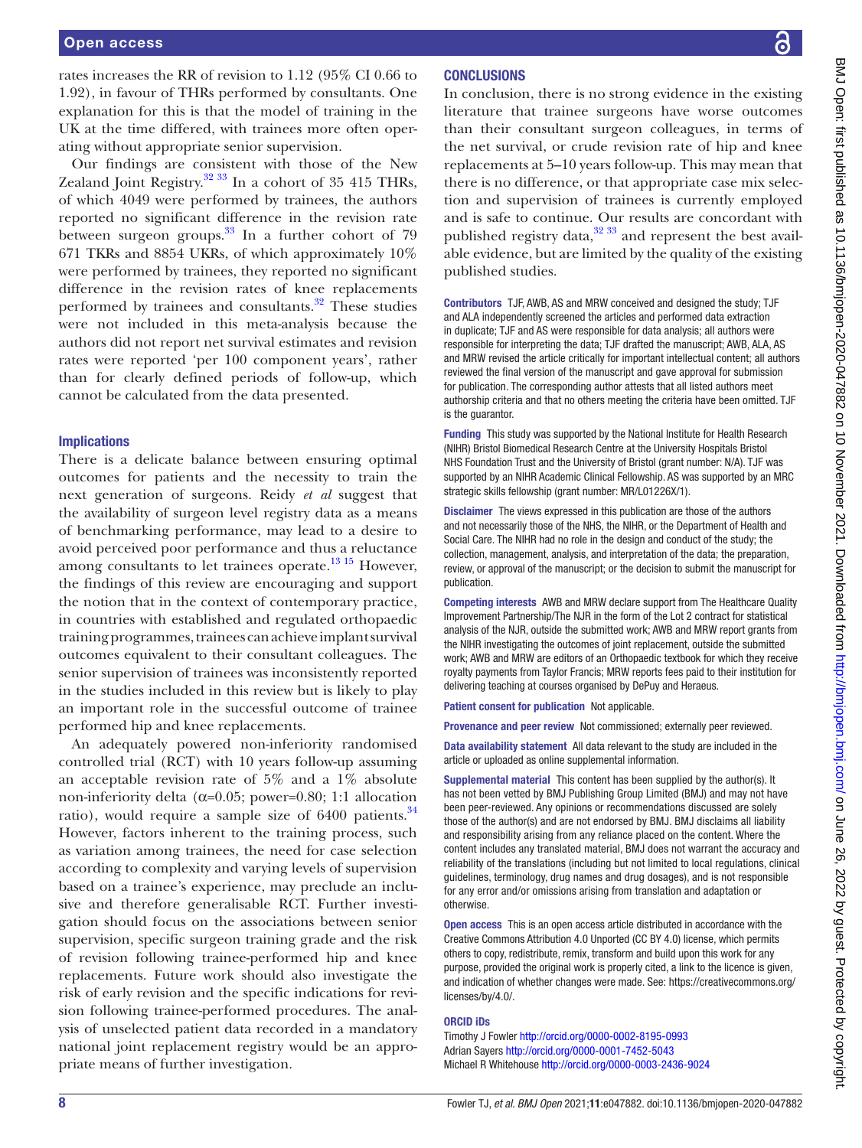rates increases the RR of revision to 1.12 (95% CI 0.66 to 1.92), in favour of THRs performed by consultants. One explanation for this is that the model of training in the UK at the time differed, with trainees more often operating without appropriate senior supervision.

Our findings are consistent with those of the New Zealand Joint Registry.<sup>32 33</sup> In a cohort of 35 415 THRs, of which 4049 were performed by trainees, the authors reported no significant difference in the revision rate between surgeon groups. $33$  In a further cohort of 79 671 TKRs and 8854 UKRs, of which approximately 10% were performed by trainees, they reported no significant difference in the revision rates of knee replacements performed by trainees and consultants.<sup>32</sup> These studies were not included in this meta-analysis because the authors did not report net survival estimates and revision rates were reported 'per 100 component years', rather than for clearly defined periods of follow-up, which cannot be calculated from the data presented.

#### Implications

There is a delicate balance between ensuring optimal outcomes for patients and the necessity to train the next generation of surgeons. Reidy *et al* suggest that the availability of surgeon level registry data as a means of benchmarking performance, may lead to a desire to avoid perceived poor performance and thus a reluctance among consultants to let trainees operate.<sup>13 15</sup> However, the findings of this review are encouraging and support the notion that in the context of contemporary practice, in countries with established and regulated orthopaedic training programmes, trainees can achieve implant survival outcomes equivalent to their consultant colleagues. The senior supervision of trainees was inconsistently reported in the studies included in this review but is likely to play an important role in the successful outcome of trainee performed hip and knee replacements.

An adequately powered non-inferiority randomised controlled trial (RCT) with 10 years follow-up assuming an acceptable revision rate of 5% and a 1% absolute non-inferiority delta ( $\alpha$ =0.05; power=0.80; 1:1 allocation ratio), would require a sample size of  $6400$  patients.<sup>[34](#page-8-28)</sup> However, factors inherent to the training process, such as variation among trainees, the need for case selection according to complexity and varying levels of supervision based on a trainee's experience, may preclude an inclusive and therefore generalisable RCT. Further investigation should focus on the associations between senior supervision, specific surgeon training grade and the risk of revision following trainee-performed hip and knee replacements. Future work should also investigate the risk of early revision and the specific indications for revision following trainee-performed procedures. The analysis of unselected patient data recorded in a mandatory national joint replacement registry would be an appropriate means of further investigation.

# **CONCLUSIONS**

In conclusion, there is no strong evidence in the existing literature that trainee surgeons have worse outcomes than their consultant surgeon colleagues, in terms of the net survival, or crude revision rate of hip and knee replacements at 5–10 years follow-up. This may mean that there is no difference, or that appropriate case mix selection and supervision of trainees is currently employed and is safe to continue. Our results are concordant with published registry data, $32\frac{33}{3}$  and represent the best available evidence, but are limited by the quality of the existing published studies.

Contributors TJF, AWB, AS and MRW conceived and designed the study; TJF and ALA independently screened the articles and performed data extraction in duplicate; TJF and AS were responsible for data analysis; all authors were responsible for interpreting the data; TJF drafted the manuscript; AWB, ALA, AS and MRW revised the article critically for important intellectual content; all authors reviewed the final version of the manuscript and gave approval for submission for publication. The corresponding author attests that all listed authors meet authorship criteria and that no others meeting the criteria have been omitted. TJF is the guarantor.

Funding This study was supported by the National Institute for Health Research (NIHR) Bristol Biomedical Research Centre at the University Hospitals Bristol NHS Foundation Trust and the University of Bristol (grant number: N/A). TJF was supported by an NIHR Academic Clinical Fellowship. AS was supported by an MRC strategic skills fellowship (grant number: MR/L01226X/1).

Disclaimer The views expressed in this publication are those of the authors and not necessarily those of the NHS, the NIHR, or the Department of Health and Social Care. The NIHR had no role in the design and conduct of the study; the collection, management, analysis, and interpretation of the data; the preparation, review, or approval of the manuscript; or the decision to submit the manuscript for publication.

Competing interests AWB and MRW declare support from The Healthcare Quality Improvement Partnership/The NJR in the form of the Lot 2 contract for statistical analysis of the NJR, outside the submitted work; AWB and MRW report grants from the NIHR investigating the outcomes of joint replacement, outside the submitted work; AWB and MRW are editors of an Orthopaedic textbook for which they receive royalty payments from Taylor Francis; MRW reports fees paid to their institution for delivering teaching at courses organised by DePuy and Heraeus.

Patient consent for publication Not applicable.

Provenance and peer review Not commissioned; externally peer reviewed.

Data availability statement All data relevant to the study are included in the article or uploaded as online supplemental information.

Supplemental material This content has been supplied by the author(s). It has not been vetted by BMJ Publishing Group Limited (BMJ) and may not have been peer-reviewed. Any opinions or recommendations discussed are solely those of the author(s) and are not endorsed by BMJ. BMJ disclaims all liability and responsibility arising from any reliance placed on the content. Where the content includes any translated material, BMJ does not warrant the accuracy and reliability of the translations (including but not limited to local regulations, clinical guidelines, terminology, drug names and drug dosages), and is not responsible for any error and/or omissions arising from translation and adaptation or otherwise.

Open access This is an open access article distributed in accordance with the Creative Commons Attribution 4.0 Unported (CC BY 4.0) license, which permits others to copy, redistribute, remix, transform and build upon this work for any purpose, provided the original work is properly cited, a link to the licence is given, and indication of whether changes were made. See: [https://creativecommons.org/](https://creativecommons.org/licenses/by/4.0/) [licenses/by/4.0/](https://creativecommons.org/licenses/by/4.0/).

#### ORCID iDs

Timothy J Fowler<http://orcid.org/0000-0002-8195-0993> Adrian Sayers <http://orcid.org/0000-0001-7452-5043> Michael R Whitehouse<http://orcid.org/0000-0003-2436-9024>